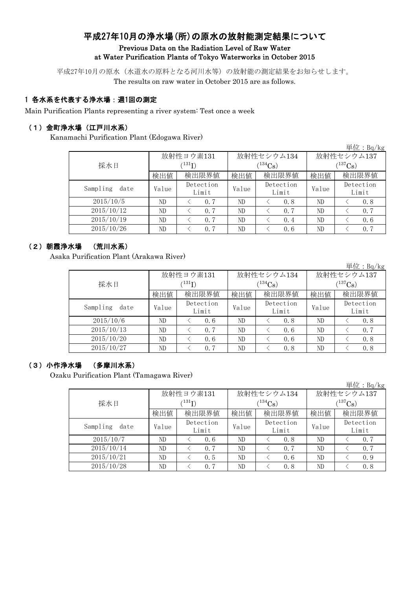# 平成27年10月の浄水場(所)の原水の放射能測定結果について Previous Data on the Radiation Level of Raw Water at Water Purification Plants of Tokyo Waterworks in October 2015

平成27年10月の原水(水道水の原料となる河川水等)の放射能の測定結果をお知らせします。 The results on raw water in October 2015 are as follows.

### 1 各水系を代表する浄水場:週1回の測定

Main Purification Plants representing a river system: Test once a week

### (1)金町浄水場(江戸川水系)

Kanamachi Purification Plant (Edogawa River)

|                  |               |                    |       |                    |              | 単位: $Bq/kg$        |  |
|------------------|---------------|--------------------|-------|--------------------|--------------|--------------------|--|
|                  |               | 放射性ヨウ素131          |       | 放射性セシウム134         | 放射性セシウム137   |                    |  |
| 採水日              | $^{(131)}$ I) |                    |       | $(134)$ Cs         | $(^{137}Cs)$ |                    |  |
|                  | 検出値           | 検出限界値              | 検出値   | 検出限界値              | 検出値          | 検出限界値              |  |
| Sampling<br>date | Value         | Detection<br>Limit | Value | Detection<br>Limit | Value        | Detection<br>Limit |  |
| 2015/10/5        | ND            | 0.7                | ND    | 0.8                | ND           | 0.8                |  |
| 2015/10/12       | ND            | 0.7                | ND    | 0.7                | ND           | 0.7                |  |
| 2015/10/19       | ND            | 0.7                | ND    | 0.4                | ND           | 0.6                |  |
| 2015/10/26       | ND            | 0.7                | ND    | 0.6                | ND           | 0.7                |  |

### (2)朝霞浄水場 (荒川水系)

Asaka Purification Plant (Arakawa River)

単位:Bq/kg

|                  |       | 放射性ヨウ素131          |       | 放射性セシウム134         | 放射性セシウム137  |                    |  |
|------------------|-------|--------------------|-------|--------------------|-------------|--------------------|--|
| 採水日              |       | $^{131}$ I)        |       | $134C_s$           | $(137)$ Cs) |                    |  |
|                  | 検出値   | 検出限界値              |       | 検出限界値              | 検出値         | 検出限界値              |  |
| Sampling<br>date | Value | Detection<br>Limit | Value | Detection<br>Limit | Value       | Detection<br>Limit |  |
| 2015/10/6        | ND    | 0.6                | ND    | 0.8                | ND          | 0.8                |  |
| 2015/10/13       | ND    | 0.7                | ND    | 0.6                | ND          | 0.7                |  |
| 2015/10/20       | ND    | 0.6                | ND    | 0.6                | ND          | 0.8                |  |
| 2015/10/27       | ND    | 0.7                | ND    | 0.8                | ND          | 0.8                |  |

### (3)小作浄水場 (多摩川水系)

Ozaku Purification Plant (Tamagawa River)

|                  |       |                    |       |                    |             | 単位: $Bq/kg$        |  |
|------------------|-------|--------------------|-------|--------------------|-------------|--------------------|--|
|                  |       | 放射性ヨウ素131          |       | 放射性セシウム134         | 放射性セシウム137  |                    |  |
| 採水日              |       | $^{(131)}$ I)      |       | $134C_{\rm S}$ )   | $(137)$ Cs) |                    |  |
|                  | 検出値   | 検出限界値              | 検出値   | 検出限界値              | 検出値         | 検出限界値              |  |
| Sampling<br>date | Value | Detection<br>Limit | Value | Detection<br>Limit | Value       | Detection<br>Limit |  |
| 2015/10/7        | ND    | 0.6                | ND    | 0.8                | ND          | 0.7                |  |
| 2015/10/14       | ND    | 0.7                | ND    | 0.7                | ND          | 0.7                |  |
| 2015/10/21       | ND    | 0.5                | ND    | 0, 6               | ND          | 0.9                |  |
| 2015/10/28       | ND    | 0.7                | ND    | 0.8                | ND          | 0.8                |  |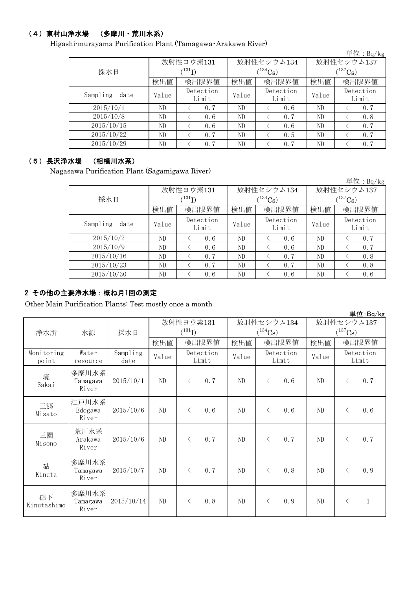## (4)東村山浄水場 (多摩川・荒川水系)

Higashi-murayama Purification Plant (Tamagawa・Arakawa River)

|                  |       |                             |       |                    |              | $\vert \dot{\Xi} \vert \dot{\Xi}$ : Bq/kg |  |
|------------------|-------|-----------------------------|-------|--------------------|--------------|-------------------------------------------|--|
|                  |       | 放射性ヨウ素131                   |       | 放射性セシウム134         | 放射性セシウム137   |                                           |  |
| 採水日              |       | $\langle ^{131}\mathrm{I})$ |       | $(^{134}Cs)$       | $(^{137}Cs)$ |                                           |  |
|                  | 検出値   | 検出限界値                       | 検出値   | 検出限界値              | 検出値          | 検出限界値                                     |  |
| Sampling<br>date | Value | Detection<br>Limit          | Value | Detection<br>Limit | Value        | Detection<br>Limit                        |  |
| 2015/10/1        | ND    | 0.7                         | ND    | 0, 6               | ND           | 0.7                                       |  |
| 2015/10/8        | ND.   | 0, 6                        | ND    | 0.7                | ND           | 0.8                                       |  |
| 2015/10/15       | ND    | 0, 6                        | ND    | 0.6                | ND           | 0.7                                       |  |
| 2015/10/22       | ND.   | 0.7                         | ND    | 0.5                | ND           | 0.7                                       |  |
| 2015/10/29       | ND    | 0.7                         | ND    | 0.7                | ND           | 0.7                                       |  |

### (5)長沢浄水場 (相模川水系)

Nagasawa Purification Plant (Sagamigawa River)

|                  |       |                    |       |                    |              | 単位: $Bq/kg$        |  |
|------------------|-------|--------------------|-------|--------------------|--------------|--------------------|--|
|                  |       | 放射性ヨウ素131          |       | 放射性セシウム134         | 放射性セシウム137   |                    |  |
| 採水日              |       | $\rm \, (^{131}I)$ |       | $(134)$ Cs)        | $(^{137}Cs)$ |                    |  |
|                  | 検出値   | 検出限界値              | 検出値   | 検出限界値              | 検出値          | 検出限界値              |  |
| Sampling<br>date | Value | Detection<br>Limit | Value | Detection<br>Limit | Value        | Detection<br>Limit |  |
| 2015/10/2        | ND    | 0, 6               | ND    | 0, 6               | ND           | 0.7                |  |
| 2015/10/9        | ND    | 0.6                | ND    | 0.6                | ND           | 0.7                |  |
| 2015/10/16       | ND    | 0.7                | ND    | 0.7                | ND           | 0.8                |  |
| 2015/10/23       | ND    | 0.7                | ND    | 0.7                | ND           | 0.8                |  |
| 2015/10/30       | ND    | 0, 6               | ND    | 0, 6               | ND           | 0, 6               |  |

## 2 その他の主要浄水場:概ね月1回の測定

Other Main Purification Plants: Test mostly once a month

| 浄水所                 | 採水日<br>水源                  |                  | 放射性ヨウ素131<br>$(^{131}I)$ |                    |       | 放射性セシウム134<br>$(^{134}Cs)$ | $+12.597$ Kg<br>放射性セシウム137<br>$(^{137}Cs)$ |                           |
|---------------------|----------------------------|------------------|--------------------------|--------------------|-------|----------------------------|--------------------------------------------|---------------------------|
|                     |                            |                  | 検出値                      | 検出限界値              | 検出値   | 検出限界値                      | 検出値                                        | 検出限界値                     |
| Monitoring<br>point | Water<br>resource          | Sampling<br>date | Value                    | Detection<br>Limit | Value | Detection<br>Limit         | Value                                      | Detection<br>Limit        |
| 境<br>Sakai          | 多摩川水系<br>Tamagawa<br>River | 2015/10/1        | ND                       | 0.7<br>$\langle$   | ND    | 0.6<br>$\langle$           | ND                                         | 0.7<br>$\lt$              |
| 三郷<br>Misato        | 江戸川水系<br>Edogawa<br>River  | 2015/10/6        | ND                       | 0.6<br>$\langle$   | ND    | 0.6<br>$\langle$           | ND                                         | 0.6<br>$\lt$              |
| 三園<br>Misono        | 荒川水系<br>Arakawa<br>River   | 2015/10/6        | ND                       | 0.7<br>$\langle$   | ND    | 0.7<br>$\lt$               | ND                                         | 0.7<br>$\lt$              |
| 砧<br>Kinuta         | 多摩川水系<br>Tamagawa<br>River | 2015/10/7        | ND                       | 0.7<br>$\langle$   | ND    | 0.8<br>$\langle$           | ND                                         | 0.9<br>$\lt$              |
| 砧下<br>Kinutashimo   | 多摩川水系<br>Tamagawa<br>River | 2015/10/14       | ND                       | 0.8<br>$\langle$   | ND    | 0.9<br>$\langle$           | ND                                         | $\langle$<br>$\mathbf{1}$ |

単位:Bq/kg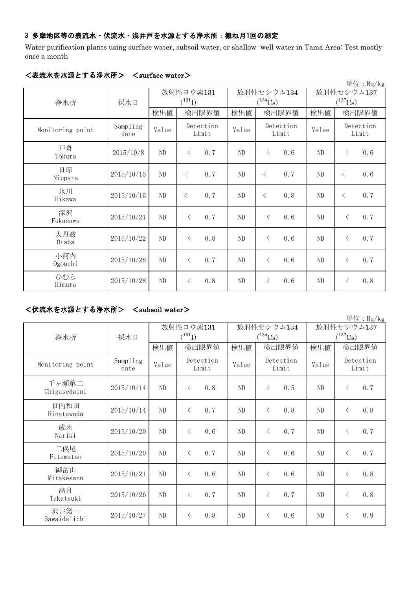## 3 多摩地区等の表流水・伏流水・浅井戸を水源とする浄水所:概ね月1回の測定

Water purification plants using surface water, subsoil water, or shallow well water in Tama Area: Test mostly once a month

| $V = 1.7717177$  |                  |          |                          |          |                                     |          | 単位: $Bq/kg$                         |  |
|------------------|------------------|----------|--------------------------|----------|-------------------------------------|----------|-------------------------------------|--|
| 浄水所              | 採水日              |          | 放射性ヨウ素131<br>$(^{131}I)$ |          | 放射性セシウム134<br>$(^{134}\mathrm{Cs})$ |          | 放射性セシウム137<br>$(^{137}\mathrm{Cs})$ |  |
|                  |                  | 検出値      | 検出限界値                    | 検出値      | 検出限界値                               | 検出値      | 検出限界値                               |  |
| Monitoring point | Sampling<br>date | Value    | Detection<br>Limit       | Value    | Detection<br>Limit                  | Value    | Detection<br>Limit                  |  |
| 戸倉<br>Tokura     | 2015/10/8        | $\rm ND$ | 0.7<br>$\langle$         | ND       | $\langle$<br>0.6                    | ND       | 0.6<br>$\langle$                    |  |
| 日原<br>Nippara    | 2015/10/15       | $\rm ND$ | 0.7<br>$\langle$         | ND       | 0.7<br>$\lt$                        | ND       | 0.6<br>$\langle$                    |  |
| 氷川<br>Hikawa     | 2015/10/15       | $\rm ND$ | 0.7<br>$\langle$         | ND       | 0.8<br>$\langle$                    | ND       | 0.7<br>$\langle$                    |  |
| 深沢<br>Fukasawa   | 2015/10/21       | $\rm ND$ | 0.7<br>$\langle$         | $\rm ND$ | 0.6<br>$\langle$                    | $\rm ND$ | 0.7<br>$\langle$                    |  |
| 大丹波<br>0taba     | 2015/10/22       | ND       | 0.8<br>$\langle$         | ND       | 0.6<br>$\langle$                    | ND       | 0.7<br>$\langle$                    |  |
| 小河内<br>Ogouchi   | 2015/10/28       | $\rm ND$ | 0.7<br>$\langle$         | $\rm ND$ | 0.6<br>$\langle$                    | $\rm ND$ | 0.7<br>$\langle$                    |  |
| ひむら<br>Himura    | 2015/10/28       | ND       | 0.8<br>$\lt$             | ND       | $\langle$<br>0.6                    | $\rm ND$ | 0.8<br>$\lt$                        |  |

### <表流水を水源とする浄水所> <surface water>

#### <伏流水を水源とする浄水所> <subsoil water>

|                       |                  |           |                    |       |                       |            | 単位: Bq/kg             |
|-----------------------|------------------|-----------|--------------------|-------|-----------------------|------------|-----------------------|
|                       |                  | 放射性ヨウ素131 |                    |       | 放射性セシウム134            | 放射性セシウム137 |                       |
| 浄水所                   | 採水日              |           | $(^{131}I)$        |       | $(^{134}\mathrm{Cs})$ |            | $(^{137}\mathrm{Cs})$ |
|                       |                  | 検出値       | 検出限界値              | 検出値   | 検出限界値                 | 検出値        | 検出限界値                 |
| Monitoring point      | Sampling<br>date | Value     | Detection<br>Limit | Value | Detection<br>Limit    | Value      | Detection<br>Limit    |
| 千ヶ瀬第二<br>Chigasedaini | 2015/10/14       | ND        | 0.8<br>$\langle$   | ND    | 0.5<br>$\langle$      | ND         | 0.7<br>$\lt$          |
| 日向和田<br>Hinatawada    | 2015/10/14       | ND        | $\langle$<br>0.7   | ND    | 0.8<br>$\langle$      | ND         | 0.8<br>$\lt$          |
| 成木<br>Nariki          | 2015/10/20       | ND        | 0.6<br>$\langle$   | ND    | 0.7<br>$\langle$      | ND         | 0.7<br>$\lt$          |
| 二俣尾<br>Futamatao      | 2015/10/20       | ND        | $\langle$<br>0, 7  | ND    | $\langle$<br>0.6      | ND         | 0.7<br>$\langle$      |
| 御岳山<br>Mitakesann     | 2015/10/21       | ND        | $\langle$<br>0.6   | ND    | 0.6<br>$\langle$      | ND         | 0.8<br>$\langle$      |
| 高月<br>Takatsuki       | 2015/10/26       | ND        | 0.7<br>$\langle$   | ND    | 0.7<br>$\langle$      | ND         | 0.8<br>$\langle$      |
| 沢井第一<br>Sawaidaiichi  | 2015/10/27       | ND        | 0.8<br>$\langle$   | ND    | 0.6<br>$\langle$      | $\rm ND$   | 0.9<br>$\langle$      |